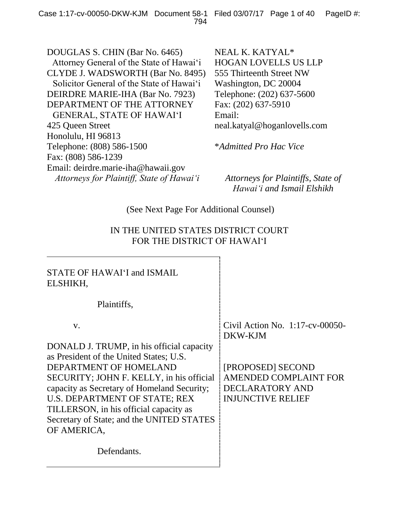DOUGLAS S. CHIN (Bar No. 6465) Attorney General of the State of Hawai'i CLYDE J. WADSWORTH (Bar No. 8495) Solicitor General of the State of Hawai'i DEIRDRE MARIE-IHA (Bar No. 7923) DEPARTMENT OF THE ATTORNEY GENERAL, STATE OF HAWAI'I 425 Queen Street Honolulu, HI 96813 Telephone: (808) 586-1500 Fax: (808) 586-1239 Email: deirdre.marie-iha@hawaii.gov *Attorneys for Plaintiff, State of Hawai'i Attorneys for Plaintiffs, State of* 

NEAL K. KATYAL\* HOGAN LOVELLS US LLP 555 Thirteenth Street NW Washington, DC 20004 Telephone: (202) 637-5600 Fax: (202) 637-5910 Email: neal.katyal@hoganlovells.com

\**Admitted Pro Hac Vice*

*Hawai'i and Ismail Elshikh*

## (See Next Page For Additional Counsel)

## IN THE UNITED STATES DISTRICT COURT FOR THE DISTRICT OF HAWAI'I

| STATE OF HAWAI'I and ISMAIL<br>ELSHIKH,                                              |                                               |
|--------------------------------------------------------------------------------------|-----------------------------------------------|
| Plaintiffs,                                                                          |                                               |
| V.                                                                                   | Civil Action No. $1:17$ -cv-00050-<br>DKW-KJM |
| DONALD J. TRUMP, in his official capacity<br>as President of the United States; U.S. |                                               |
| DEPARTMENT OF HOMELAND                                                               | [PROPOSED] SECOND                             |
| SECURITY; JOHN F. KELLY, in his official                                             | <b>AMENDED COMPLAINT FOR</b>                  |
| capacity as Secretary of Homeland Security;                                          | <b>DECLARATORY AND</b>                        |
| U.S. DEPARTMENT OF STATE; REX                                                        | <b>INJUNCTIVE RELIEF</b>                      |
| TILLERSON, in his official capacity as                                               |                                               |
| Secretary of State; and the UNITED STATES                                            |                                               |
| OF AMERICA,                                                                          |                                               |
| Defendants.                                                                          |                                               |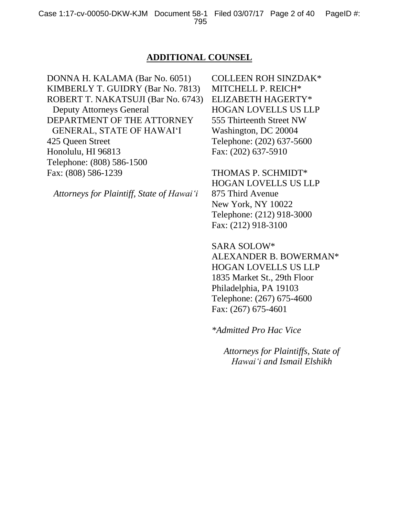#### **ADDITIONAL COUNSEL**

DONNA H. KALAMA (Bar No. 6051) KIMBERLY T. GUIDRY (Bar No. 7813) ROBERT T. NAKATSUJI (Bar No. 6743) Deputy Attorneys General DEPARTMENT OF THE ATTORNEY GENERAL, STATE OF HAWAI'I 425 Queen Street Honolulu, HI 96813 Telephone: (808) 586-1500 Fax: (808) 586-1239

*Attorneys for Plaintiff, State of Hawai'i*

COLLEEN ROH SINZDAK\* MITCHELL P. REICH\* ELIZABETH HAGERTY\* HOGAN LOVELLS US LLP 555 Thirteenth Street NW Washington, DC 20004 Telephone: (202) 637-5600 Fax: (202) 637-5910

THOMAS P. SCHMIDT\* HOGAN LOVELLS US LLP 875 Third Avenue New York, NY 10022 Telephone: (212) 918-3000 Fax: (212) 918-3100

SARA SOLOW\* ALEXANDER B. BOWERMAN\* HOGAN LOVELLS US LLP 1835 Market St., 29th Floor Philadelphia, PA 19103 Telephone: (267) 675-4600 Fax: (267) 675-4601

*\*Admitted Pro Hac Vice*

*Attorneys for Plaintiffs, State of Hawai'i and Ismail Elshikh*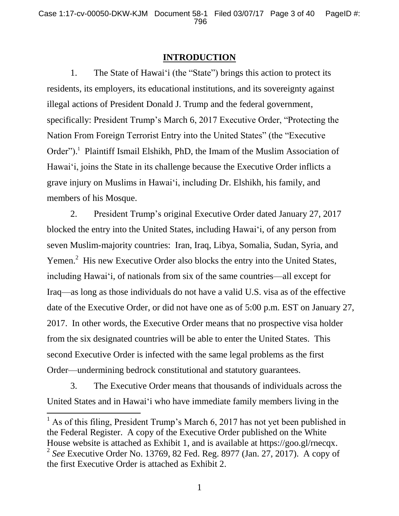### **INTRODUCTION**

1. The State of Hawai'i (the "State") brings this action to protect its residents, its employers, its educational institutions, and its sovereignty against illegal actions of President Donald J. Trump and the federal government, specifically: President Trump's March 6, 2017 Executive Order, "Protecting the Nation From Foreign Terrorist Entry into the United States" (the "Executive Order").<sup>1</sup> Plaintiff Ismail Elshikh, PhD, the Imam of the Muslim Association of Hawai'i, joins the State in its challenge because the Executive Order inflicts a grave injury on Muslims in Hawai'i, including Dr. Elshikh, his family, and members of his Mosque.

2. President Trump's original Executive Order dated January 27, 2017 blocked the entry into the United States, including Hawai'i, of any person from seven Muslim-majority countries: Iran, Iraq, Libya, Somalia, Sudan, Syria, and Yemen.<sup>2</sup> His new Executive Order also blocks the entry into the United States, including Hawai'i, of nationals from six of the same countries—all except for Iraq—as long as those individuals do not have a valid U.S. visa as of the effective date of the Executive Order, or did not have one as of 5:00 p.m. EST on January 27, 2017. In other words, the Executive Order means that no prospective visa holder from the six designated countries will be able to enter the United States. This second Executive Order is infected with the same legal problems as the first Order—undermining bedrock constitutional and statutory guarantees.

3. The Executive Order means that thousands of individuals across the United States and in Hawai'i who have immediate family members living in the

l

 $<sup>1</sup>$  As of this filing, President Trump's March 6, 2017 has not yet been published in</sup> the Federal Register. A copy of the Executive Order published on the White House website is attached as Exhibit 1, and is available at https://goo.gl/rnecqx. 2 *See* Executive Order No. 13769, 82 Fed. Reg. 8977 (Jan. 27, 2017). A copy of the first Executive Order is attached as Exhibit 2.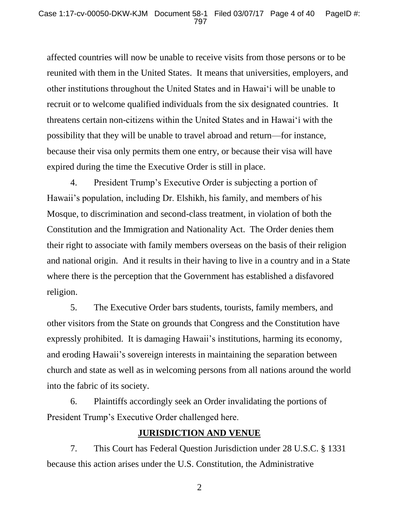affected countries will now be unable to receive visits from those persons or to be reunited with them in the United States. It means that universities, employers, and other institutions throughout the United States and in Hawai'i will be unable to recruit or to welcome qualified individuals from the six designated countries. It threatens certain non-citizens within the United States and in Hawai'i with the possibility that they will be unable to travel abroad and return—for instance, because their visa only permits them one entry, or because their visa will have expired during the time the Executive Order is still in place.

4. President Trump's Executive Order is subjecting a portion of Hawaii's population, including Dr. Elshikh, his family, and members of his Mosque, to discrimination and second-class treatment, in violation of both the Constitution and the Immigration and Nationality Act. The Order denies them their right to associate with family members overseas on the basis of their religion and national origin. And it results in their having to live in a country and in a State where there is the perception that the Government has established a disfavored religion.

5. The Executive Order bars students, tourists, family members, and other visitors from the State on grounds that Congress and the Constitution have expressly prohibited. It is damaging Hawaii's institutions, harming its economy, and eroding Hawaii's sovereign interests in maintaining the separation between church and state as well as in welcoming persons from all nations around the world into the fabric of its society.

6. Plaintiffs accordingly seek an Order invalidating the portions of President Trump's Executive Order challenged here.

### **JURISDICTION AND VENUE**

7. This Court has Federal Question Jurisdiction under 28 U.S.C. § 1331 because this action arises under the U.S. Constitution, the Administrative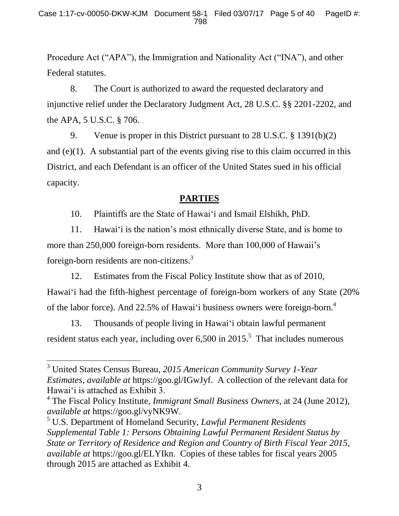Procedure Act ("APA"), the Immigration and Nationality Act ("INA"), and other Federal statutes.

8. The Court is authorized to award the requested declaratory and injunctive relief under the Declaratory Judgment Act, 28 U.S.C. §§ 2201-2202, and the APA, 5 U.S.C. § 706.

9. Venue is proper in this District pursuant to 28 U.S.C. § 1391(b)(2) and  $(e)(1)$ . A substantial part of the events giving rise to this claim occurred in this District, and each Defendant is an officer of the United States sued in his official capacity.

# **PARTIES**

10. Plaintiffs are the State of Hawai'i and Ismail Elshikh, PhD.

11. Hawai'i is the nation's most ethnically diverse State, and is home to more than 250,000 foreign-born residents. More than 100,000 of Hawaii's foreign-born residents are non-citizens.<sup>3</sup>

12. Estimates from the Fiscal Policy Institute show that as of 2010, Hawai'i had the fifth-highest percentage of foreign-born workers of any State (20% of the labor force). And 22.5% of Hawai'i business owners were foreign-born.<sup>4</sup>

13. Thousands of people living in Hawai'i obtain lawful permanent resident status each year, including over  $6,500$  in  $2015$ .<sup>5</sup> That includes numerous

<sup>3</sup> United States Census Bureau, *2015 American Community Survey 1-Year Estimates*, *available at* https://goo.gl/IGwJyf. A collection of the relevant data for Hawai'i is attached as Exhibit 3.

<sup>4</sup> The Fiscal Policy Institute, *Immigrant Small Business Owners*, at 24 (June 2012), *available at* https://goo.gl/vyNK9W.

<sup>5</sup> U.S. Department of Homeland Security, *Lawful Permanent Residents Supplemental Table 1: Persons Obtaining Lawful Permanent Resident Status by State or Territory of Residence and Region and Country of Birth Fiscal Year 2015*, *available at* https://goo.gl/ELYIkn. Copies of these tables for fiscal years 2005 through 2015 are attached as Exhibit 4.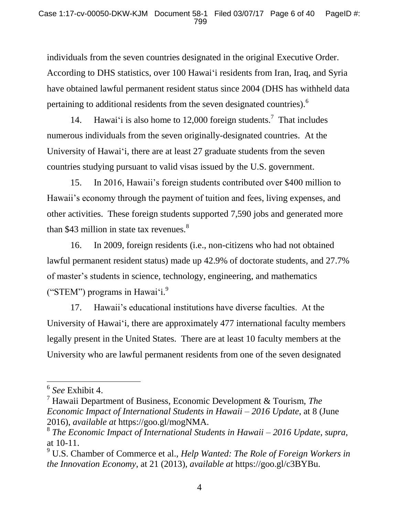individuals from the seven countries designated in the original Executive Order. According to DHS statistics, over 100 Hawai'i residents from Iran, Iraq, and Syria have obtained lawful permanent resident status since 2004 (DHS has withheld data pertaining to additional residents from the seven designated countries).<sup>6</sup>

14. Hawai'i is also home to 12,000 foreign students.<sup>7</sup> That includes numerous individuals from the seven originally-designated countries. At the University of Hawai'i, there are at least 27 graduate students from the seven countries studying pursuant to valid visas issued by the U.S. government.

15. In 2016, Hawaii's foreign students contributed over \$400 million to Hawaii's economy through the payment of tuition and fees, living expenses, and other activities. These foreign students supported 7,590 jobs and generated more than \$43 million in state tax revenues. $8<sup>8</sup>$ 

16. In 2009, foreign residents (i.e., non-citizens who had not obtained lawful permanent resident status) made up 42.9% of doctorate students, and 27.7% of master's students in science, technology, engineering, and mathematics ("STEM") programs in Hawai'i. $9$ 

17. Hawaii's educational institutions have diverse faculties. At the University of Hawai'i, there are approximately 477 international faculty members legally present in the United States. There are at least 10 faculty members at the University who are lawful permanent residents from one of the seven designated

 $\overline{a}$ 

<sup>6</sup> *See* Exhibit 4.

<sup>7</sup> Hawaii Department of Business, Economic Development & Tourism, *The Economic Impact of International Students in Hawaii – 2016 Update*, at 8 (June 2016), *available at* https://goo.gl/mogNMA.

<sup>8</sup> *The Economic Impact of International Students in Hawaii – 2016 Update*, *supra*, at 10-11.

<sup>9</sup> U.S. Chamber of Commerce et al., *Help Wanted: The Role of Foreign Workers in the Innovation Economy*, at 21 (2013), *available at* https://goo.gl/c3BYBu.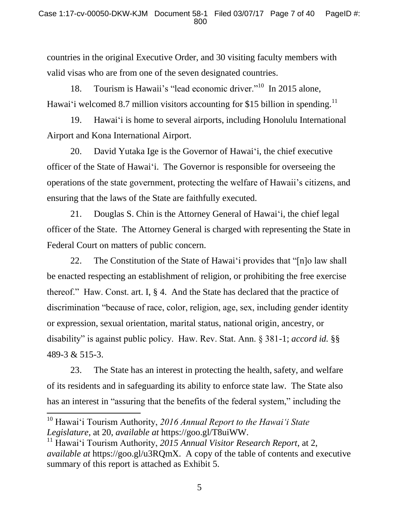countries in the original Executive Order, and 30 visiting faculty members with valid visas who are from one of the seven designated countries.

18. Tourism is Hawaii's "lead economic driver."<sup>10</sup> In 2015 alone, Hawai'i welcomed 8.7 million visitors accounting for \$15 billion in spending.<sup>11</sup>

19. Hawai'i is home to several airports, including Honolulu International Airport and Kona International Airport.

20. David Yutaka Ige is the Governor of Hawai'i, the chief executive officer of the State of Hawai'i. The Governor is responsible for overseeing the operations of the state government, protecting the welfare of Hawaii's citizens, and ensuring that the laws of the State are faithfully executed.

21. Douglas S. Chin is the Attorney General of Hawai'i, the chief legal officer of the State. The Attorney General is charged with representing the State in Federal Court on matters of public concern.

22. The Constitution of the State of Hawai'i provides that "[n]o law shall be enacted respecting an establishment of religion, or prohibiting the free exercise thereof." Haw. Const. art. I, § 4. And the State has declared that the practice of discrimination "because of race, color, religion, age, sex, including gender identity or expression, sexual orientation, marital status, national origin, ancestry, or disability" is against public policy. Haw. Rev. Stat. Ann. § 381-1; *accord id.* §§ 489-3 & 515-3.

23. The State has an interest in protecting the health, safety, and welfare of its residents and in safeguarding its ability to enforce state law. The State also has an interest in "assuring that the benefits of the federal system," including the

<sup>10</sup> Hawai'i Tourism Authority, *2016 Annual Report to the Hawai'i State Legislature*, at 20, *available at* https://goo.gl/T8uiWW.

<sup>11</sup> Hawai'i Tourism Authority, *2015 Annual Visitor Research Report*, at 2, *available at* https://goo.gl/u3RQmX. A copy of the table of contents and executive summary of this report is attached as Exhibit 5.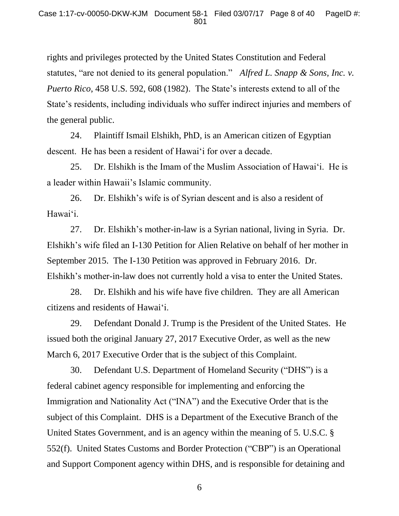rights and privileges protected by the United States Constitution and Federal statutes, "are not denied to its general population." *Alfred L. Snapp & Sons, Inc. v. Puerto Rico*, 458 U.S. 592, 608 (1982). The State's interests extend to all of the State's residents, including individuals who suffer indirect injuries and members of the general public.

24. Plaintiff Ismail Elshikh, PhD, is an American citizen of Egyptian descent. He has been a resident of Hawai'i for over a decade.

25. Dr. Elshikh is the Imam of the Muslim Association of Hawai'i. He is a leader within Hawaii's Islamic community.

26. Dr. Elshikh's wife is of Syrian descent and is also a resident of Hawai'i.

27. Dr. Elshikh's mother-in-law is a Syrian national, living in Syria. Dr. Elshikh's wife filed an I-130 Petition for Alien Relative on behalf of her mother in September 2015. The I-130 Petition was approved in February 2016. Dr. Elshikh's mother-in-law does not currently hold a visa to enter the United States.

28. Dr. Elshikh and his wife have five children. They are all American citizens and residents of Hawai'i.

29. Defendant Donald J. Trump is the President of the United States. He issued both the original January 27, 2017 Executive Order, as well as the new March 6, 2017 Executive Order that is the subject of this Complaint.

30. Defendant U.S. Department of Homeland Security ("DHS") is a federal cabinet agency responsible for implementing and enforcing the Immigration and Nationality Act ("INA") and the Executive Order that is the subject of this Complaint. DHS is a Department of the Executive Branch of the United States Government, and is an agency within the meaning of 5. U.S.C. § 552(f). United States Customs and Border Protection ("CBP") is an Operational and Support Component agency within DHS, and is responsible for detaining and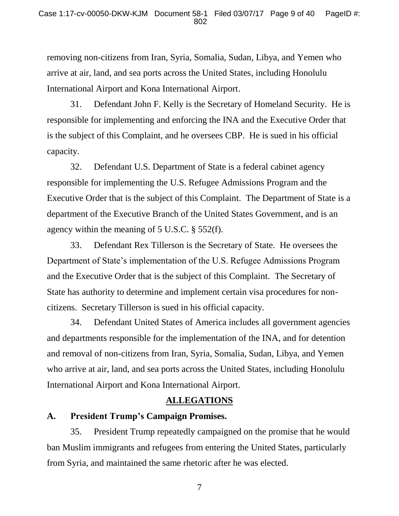removing non-citizens from Iran, Syria, Somalia, Sudan, Libya, and Yemen who arrive at air, land, and sea ports across the United States, including Honolulu International Airport and Kona International Airport.

31. Defendant John F. Kelly is the Secretary of Homeland Security. He is responsible for implementing and enforcing the INA and the Executive Order that is the subject of this Complaint, and he oversees CBP. He is sued in his official capacity.

32. Defendant U.S. Department of State is a federal cabinet agency responsible for implementing the U.S. Refugee Admissions Program and the Executive Order that is the subject of this Complaint. The Department of State is a department of the Executive Branch of the United States Government, and is an agency within the meaning of 5 U.S.C. § 552(f).

33. Defendant Rex Tillerson is the Secretary of State. He oversees the Department of State's implementation of the U.S. Refugee Admissions Program and the Executive Order that is the subject of this Complaint. The Secretary of State has authority to determine and implement certain visa procedures for noncitizens. Secretary Tillerson is sued in his official capacity.

34. Defendant United States of America includes all government agencies and departments responsible for the implementation of the INA, and for detention and removal of non-citizens from Iran, Syria, Somalia, Sudan, Libya, and Yemen who arrive at air, land, and sea ports across the United States, including Honolulu International Airport and Kona International Airport.

## **ALLEGATIONS**

## **A. President Trump's Campaign Promises.**

35. President Trump repeatedly campaigned on the promise that he would ban Muslim immigrants and refugees from entering the United States, particularly from Syria, and maintained the same rhetoric after he was elected.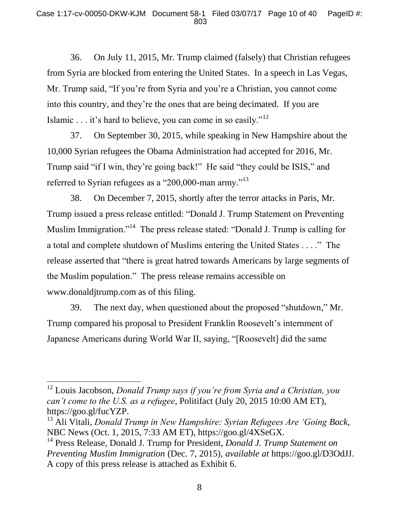36. On July 11, 2015, Mr. Trump claimed (falsely) that Christian refugees from Syria are blocked from entering the United States. In a speech in Las Vegas, Mr. Trump said, "If you're from Syria and you're a Christian, you cannot come into this country, and they're the ones that are being decimated. If you are Islamic . . . it's hard to believe, you can come in so easily."<sup>12</sup>

37. On September 30, 2015, while speaking in New Hampshire about the 10,000 Syrian refugees the Obama Administration had accepted for 2016, Mr. Trump said "if I win, they're going back!" He said "they could be ISIS," and referred to Syrian refugees as a "200,000-man army."<sup>13</sup>

38. On December 7, 2015, shortly after the terror attacks in Paris, Mr. Trump issued a press release entitled: "Donald J. Trump Statement on Preventing Muslim Immigration."<sup>14</sup> The press release stated: "Donald J. Trump is calling for a total and complete shutdown of Muslims entering the United States . . . ." The release asserted that "there is great hatred towards Americans by large segments of the Muslim population." The press release remains accessible on www.donaldjtrump.com as of this filing.

39. The next day, when questioned about the proposed "shutdown," Mr. Trump compared his proposal to President Franklin Roosevelt's internment of Japanese Americans during World War II, saying, "[Roosevelt] did the same

 $\overline{a}$ 

<sup>12</sup> Louis Jacobson, *Donald Trump says if you're from Syria and a Christian, you can't come to the U.S. as a refugee*, Politifact (July 20, 2015 10:00 AM ET), https://goo.gl/fucYZP.

<sup>13</sup> Ali Vitali, *Donald Trump in New Hampshire: Syrian Refugees Are 'Going Back*, NBC News (Oct. 1, 2015, 7:33 AM ET), https://goo.gl/4XSeGX.

<sup>14</sup> Press Release, Donald J. Trump for President, *Donald J. Trump Statement on Preventing Muslim Immigration* (Dec. 7, 2015), *available at* https://goo.gl/D3OdJJ. A copy of this press release is attached as Exhibit 6.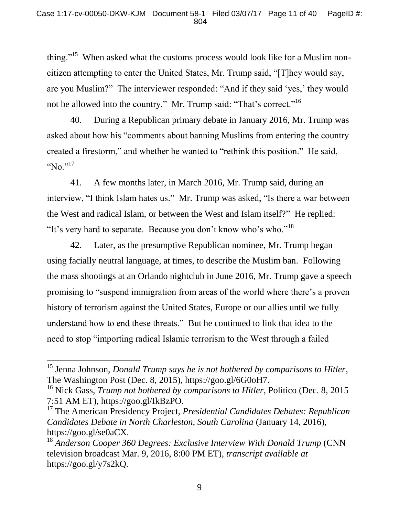thing."<sup>15</sup> When asked what the customs process would look like for a Muslim noncitizen attempting to enter the United States, Mr. Trump said, "[T]hey would say, are you Muslim?" The interviewer responded: "And if they said 'yes,' they would not be allowed into the country." Mr. Trump said: "That's correct."<sup>16</sup>

40. During a Republican primary debate in January 2016, Mr. Trump was asked about how his "comments about banning Muslims from entering the country created a firestorm," and whether he wanted to "rethink this position." He said, " $\text{No.}^{\cdot,17}$ 

41. A few months later, in March 2016, Mr. Trump said, during an interview, "I think Islam hates us." Mr. Trump was asked, "Is there a war between the West and radical Islam, or between the West and Islam itself?" He replied: "It's very hard to separate. Because you don't know who's who."<sup>18</sup>

42. Later, as the presumptive Republican nominee, Mr. Trump began using facially neutral language, at times, to describe the Muslim ban. Following the mass shootings at an Orlando nightclub in June 2016, Mr. Trump gave a speech promising to "suspend immigration from areas of the world where there's a proven history of terrorism against the United States, Europe or our allies until we fully understand how to end these threats." But he continued to link that idea to the need to stop "importing radical Islamic terrorism to the West through a failed

<sup>15</sup> Jenna Johnson, *Donald Trump says he is not bothered by comparisons to Hitler*, The Washington Post (Dec. 8, 2015), https://goo.gl/6G0oH7.

<sup>16</sup> Nick Gass, *Trump not bothered by comparisons to Hitler*, Politico (Dec. 8, 2015 7:51 AM ET), https://goo.gl/IkBzPO.

<sup>17</sup> The American Presidency Project, *Presidential Candidates Debates: Republican Candidates Debate in North Charleston, South Carolina* (January 14, 2016), https://goo.gl/se0aCX.

<sup>&</sup>lt;sup>18</sup> Anderson Cooper 360 Degrees: Exclusive Interview With Donald Trump (CNN television broadcast Mar. 9, 2016, 8:00 PM ET), *transcript available at*  https://goo.gl/y7s2kQ.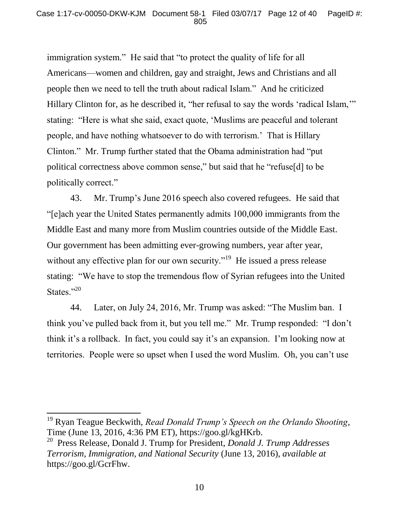immigration system." He said that "to protect the quality of life for all Americans—women and children, gay and straight, Jews and Christians and all people then we need to tell the truth about radical Islam." And he criticized Hillary Clinton for, as he described it, "her refusal to say the words 'radical Islam," stating: "Here is what she said, exact quote, 'Muslims are peaceful and tolerant people, and have nothing whatsoever to do with terrorism.' That is Hillary Clinton." Mr. Trump further stated that the Obama administration had "put political correctness above common sense," but said that he "refuse[d] to be politically correct."

43. Mr. Trump's June 2016 speech also covered refugees. He said that "[e]ach year the United States permanently admits 100,000 immigrants from the Middle East and many more from Muslim countries outside of the Middle East. Our government has been admitting ever-growing numbers, year after year, without any effective plan for our own security."<sup>19</sup> He issued a press release stating: "We have to stop the tremendous flow of Syrian refugees into the United States."<sup>20</sup>

44. Later, on July 24, 2016, Mr. Trump was asked: "The Muslim ban. I think you've pulled back from it, but you tell me." Mr. Trump responded: "I don't think it's a rollback. In fact, you could say it's an expansion. I'm looking now at territories. People were so upset when I used the word Muslim. Oh, you can't use

<sup>19</sup> Ryan Teague Beckwith, *Read Donald Trump's Speech on the Orlando Shooting*, Time (June 13, 2016, 4:36 PM ET), https://goo.gl/kgHKrb.

<sup>20</sup> Press Release, Donald J. Trump for President, *Donald J. Trump Addresses Terrorism, Immigration, and National Security* (June 13, 2016), *available at*  https://goo.gl/GcrFhw.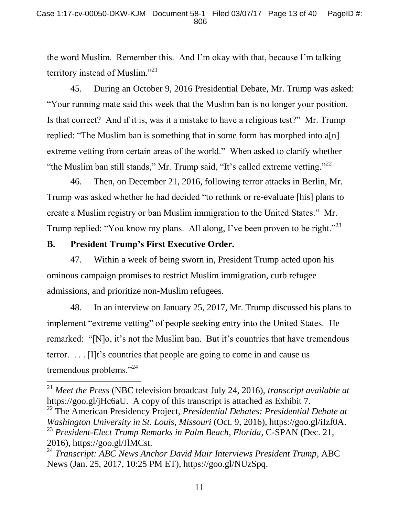the word Muslim. Remember this. And I'm okay with that, because I'm talking territory instead of Muslim."<sup>21</sup>

45. During an October 9, 2016 Presidential Debate, Mr. Trump was asked: "Your running mate said this week that the Muslim ban is no longer your position. Is that correct? And if it is, was it a mistake to have a religious test?" Mr. Trump replied: "The Muslim ban is something that in some form has morphed into a[n] extreme vetting from certain areas of the world." When asked to clarify whether "the Muslim ban still stands," Mr. Trump said, "It's called extreme vetting."<sup>22</sup>

46. Then, on December 21, 2016, following terror attacks in Berlin, Mr. Trump was asked whether he had decided "to rethink or re-evaluate [his] plans to create a Muslim registry or ban Muslim immigration to the United States." Mr. Trump replied: "You know my plans. All along, I've been proven to be right."<sup>23</sup>

### **B. President Trump's First Executive Order.**

 $\overline{a}$ 

47. Within a week of being sworn in, President Trump acted upon his ominous campaign promises to restrict Muslim immigration, curb refugee admissions, and prioritize non-Muslim refugees.

48. In an interview on January 25, 2017, Mr. Trump discussed his plans to implement "extreme vetting" of people seeking entry into the United States. He remarked: "[N]o, it's not the Muslim ban. But it's countries that have tremendous terror. . . . [I]t's countries that people are going to come in and cause us tremendous problems."<sup>24</sup>

<sup>21</sup> *Meet the Press* (NBC television broadcast July 24, 2016), *transcript available at*  https://goo.gl/jHc6aU. A copy of this transcript is attached as Exhibit 7.

<sup>22</sup> The American Presidency Project, *Presidential Debates: Presidential Debate at Washington University in St. Louis, Missouri* (Oct. 9, 2016), https://goo.gl/iIzf0A. <sup>23</sup> *President-Elect Trump Remarks in Palm Beach, Florida*, C-SPAN (Dec. 21, 2016), https://goo.gl/JlMCst.

<sup>24</sup> *Transcript: ABC News Anchor David Muir Interviews President Trump*, ABC News (Jan. 25, 2017, 10:25 PM ET), https://goo.gl/NUzSpq.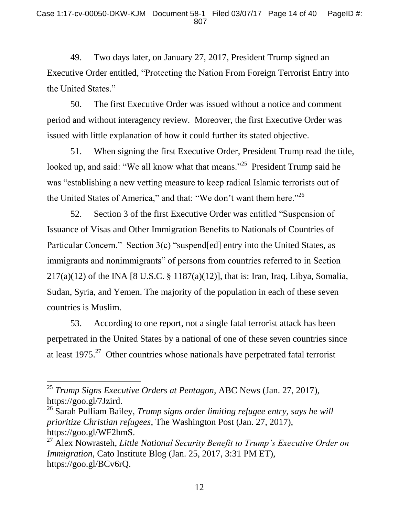49. Two days later, on January 27, 2017, President Trump signed an Executive Order entitled, "Protecting the Nation From Foreign Terrorist Entry into the United States."

50. The first Executive Order was issued without a notice and comment period and without interagency review. Moreover, the first Executive Order was issued with little explanation of how it could further its stated objective.

51. When signing the first Executive Order, President Trump read the title, looked up, and said: "We all know what that means."<sup>25</sup> President Trump said he was "establishing a new vetting measure to keep radical Islamic terrorists out of the United States of America," and that: "We don't want them here."<sup>26</sup>

52. Section 3 of the first Executive Order was entitled "Suspension of Issuance of Visas and Other Immigration Benefits to Nationals of Countries of Particular Concern." Section 3(c) "suspend[ed] entry into the United States, as immigrants and nonimmigrants" of persons from countries referred to in Section  $217(a)(12)$  of the INA [8 U.S.C. § 1187(a)(12)], that is: Iran, Iraq, Libya, Somalia, Sudan, Syria, and Yemen. The majority of the population in each of these seven countries is Muslim.

53. According to one report, not a single fatal terrorist attack has been perpetrated in the United States by a national of one of these seven countries since at least  $1975.^{27}$  Other countries whose nationals have perpetrated fatal terrorist

 $\overline{a}$ 

<sup>25</sup> *Trump Signs Executive Orders at Pentagon*, ABC News (Jan. 27, 2017), https://goo.gl/7Jzird.

<sup>26</sup> Sarah Pulliam Bailey, *Trump signs order limiting refugee entry, says he will prioritize Christian refugees*, The Washington Post (Jan. 27, 2017), https://goo.gl/WF2hmS.

<sup>27</sup> Alex Nowrasteh, *Little National Security Benefit to Trump's Executive Order on Immigration*, Cato Institute Blog (Jan. 25, 2017, 3:31 PM ET), https://goo.gl/BCv6rQ.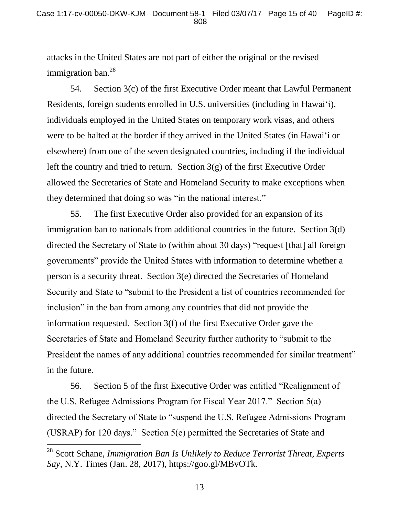attacks in the United States are not part of either the original or the revised immigration ban.<sup>28</sup>

54. Section 3(c) of the first Executive Order meant that Lawful Permanent Residents, foreign students enrolled in U.S. universities (including in Hawai'i), individuals employed in the United States on temporary work visas, and others were to be halted at the border if they arrived in the United States (in Hawai'i or elsewhere) from one of the seven designated countries, including if the individual left the country and tried to return. Section 3(g) of the first Executive Order allowed the Secretaries of State and Homeland Security to make exceptions when they determined that doing so was "in the national interest."

55. The first Executive Order also provided for an expansion of its immigration ban to nationals from additional countries in the future. Section 3(d) directed the Secretary of State to (within about 30 days) "request [that] all foreign governments" provide the United States with information to determine whether a person is a security threat. Section 3(e) directed the Secretaries of Homeland Security and State to "submit to the President a list of countries recommended for inclusion" in the ban from among any countries that did not provide the information requested. Section 3(f) of the first Executive Order gave the Secretaries of State and Homeland Security further authority to "submit to the President the names of any additional countries recommended for similar treatment" in the future.

56. Section 5 of the first Executive Order was entitled "Realignment of the U.S. Refugee Admissions Program for Fiscal Year 2017." Section 5(a) directed the Secretary of State to "suspend the U.S. Refugee Admissions Program (USRAP) for 120 days." Section 5(e) permitted the Secretaries of State and

<sup>28</sup> Scott Schane, *Immigration Ban Is Unlikely to Reduce Terrorist Threat, Experts Say*, N.Y. Times (Jan. 28, 2017), https://goo.gl/MBvOTk.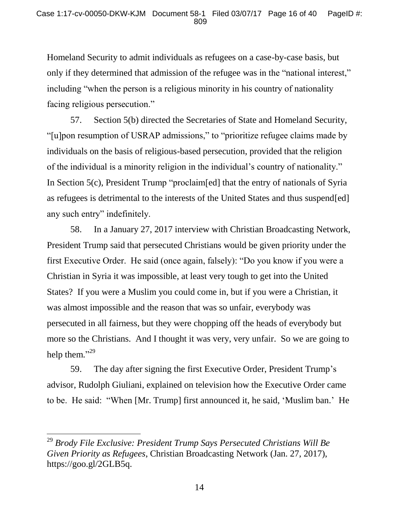Homeland Security to admit individuals as refugees on a case-by-case basis, but only if they determined that admission of the refugee was in the "national interest," including "when the person is a religious minority in his country of nationality facing religious persecution."

57. Section 5(b) directed the Secretaries of State and Homeland Security, "[u]pon resumption of USRAP admissions," to "prioritize refugee claims made by individuals on the basis of religious-based persecution, provided that the religion of the individual is a minority religion in the individual's country of nationality." In Section 5(c), President Trump "proclaim[ed] that the entry of nationals of Syria as refugees is detrimental to the interests of the United States and thus suspend[ed] any such entry" indefinitely.

58. In a January 27, 2017 interview with Christian Broadcasting Network, President Trump said that persecuted Christians would be given priority under the first Executive Order. He said (once again, falsely): "Do you know if you were a Christian in Syria it was impossible, at least very tough to get into the United States? If you were a Muslim you could come in, but if you were a Christian, it was almost impossible and the reason that was so unfair, everybody was persecuted in all fairness, but they were chopping off the heads of everybody but more so the Christians. And I thought it was very, very unfair. So we are going to help them."29

59. The day after signing the first Executive Order, President Trump's advisor, Rudolph Giuliani, explained on television how the Executive Order came to be. He said: "When [Mr. Trump] first announced it, he said, 'Muslim ban.' He

<sup>29</sup> *Brody File Exclusive: President Trump Says Persecuted Christians Will Be Given Priority as Refugees*, Christian Broadcasting Network (Jan. 27, 2017), https://goo.gl/2GLB5q.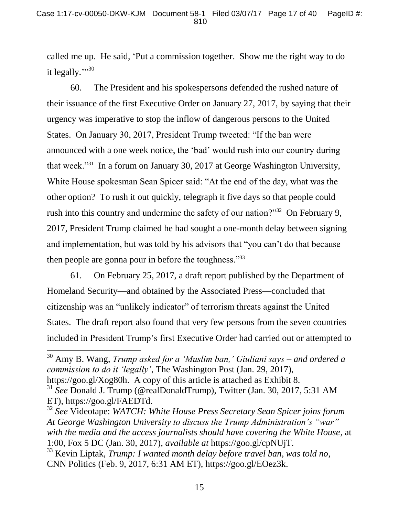called me up. He said, 'Put a commission together. Show me the right way to do it legally.""30

60. The President and his spokespersons defended the rushed nature of their issuance of the first Executive Order on January 27, 2017, by saying that their urgency was imperative to stop the inflow of dangerous persons to the United States. On January 30, 2017, President Trump tweeted: "If the ban were announced with a one week notice, the 'bad' would rush into our country during that week."<sup>31</sup> In a forum on January 30, 2017 at George Washington University, White House spokesman Sean Spicer said: "At the end of the day, what was the other option? To rush it out quickly, telegraph it five days so that people could rush into this country and undermine the safety of our nation?"<sup>32</sup> On February 9, 2017, President Trump claimed he had sought a one-month delay between signing and implementation, but was told by his advisors that "you can't do that because then people are gonna pour in before the toughness."<sup>33</sup>

61. On February 25, 2017, a draft report published by the Department of Homeland Security—and obtained by the Associated Press—concluded that citizenship was an "unlikely indicator" of terrorism threats against the United States. The draft report also found that very few persons from the seven countries included in President Trump's first Executive Order had carried out or attempted to

<sup>30</sup> Amy B. Wang, *Trump asked for a 'Muslim ban,' Giuliani says – and ordered a commission to do it 'legally'*, The Washington Post (Jan. 29, 2017), https://goo.gl/Xog80h. A copy of this article is attached as Exhibit 8.

 $\overline{a}$ 

<sup>32</sup> *See* Videotape: *WATCH: White House Press Secretary Sean Spicer joins forum At George Washington University to discuss the Trump Administration's "war" with the media and the access journalists should have covering the White House*, at 1:00, Fox 5 DC (Jan. 30, 2017), *available at* https://goo.gl/cpNUjT.

<sup>33</sup> Kevin Liptak, *Trump: I wanted month delay before travel ban, was told no*, CNN Politics (Feb. 9, 2017, 6:31 AM ET), https://goo.gl/EOez3k.

<sup>31</sup> *See* Donald J. Trump (@realDonaldTrump), Twitter (Jan. 30, 2017, 5:31 AM ET), https://goo.gl/FAEDTd.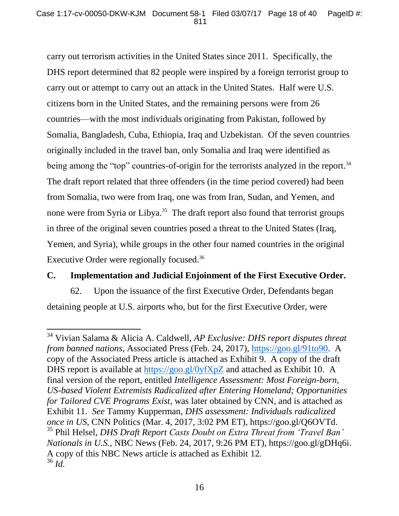carry out terrorism activities in the United States since 2011. Specifically, the DHS report determined that 82 people were inspired by a foreign terrorist group to carry out or attempt to carry out an attack in the United States. Half were U.S. citizens born in the United States, and the remaining persons were from 26 countries—with the most individuals originating from Pakistan, followed by Somalia, Bangladesh, Cuba, Ethiopia, Iraq and Uzbekistan. Of the seven countries originally included in the travel ban, only Somalia and Iraq were identified as being among the "top" countries-of-origin for the terrorists analyzed in the report.<sup>34</sup> The draft report related that three offenders (in the time period covered) had been from Somalia, two were from Iraq, one was from Iran, Sudan, and Yemen, and none were from Syria or Libya.<sup>35</sup> The draft report also found that terrorist groups in three of the original seven countries posed a threat to the United States (Iraq, Yemen, and Syria), while groups in the other four named countries in the original Executive Order were regionally focused.<sup>36</sup>

## **C. Implementation and Judicial Enjoinment of the First Executive Order.**

62. Upon the issuance of the first Executive Order, Defendants began detaining people at U.S. airports who, but for the first Executive Order, were

<sup>34</sup> Vivian Salama & Alicia A. Caldwell, *AP Exclusive: DHS report disputes threat from banned nations*, Associated Press (Feb. 24, 2017), https://goo.gl/91to90. A copy of the Associated Press article is attached as Exhibit 9. A copy of the draft DHS report is available at https://goo.gl/0yfXpZ and attached as Exhibit 10. A final version of the report, entitled *Intelligence Assessment: Most Foreign-born, US-based Violent Extremists Radicalized after Entering Homeland; Opportunities for Tailored CVE Programs Exist*, was later obtained by CNN, and is attached as Exhibit 11. *See* Tammy Kupperman, *DHS assessment: Individuals radicalized once in US*, CNN Politics (Mar. 4, 2017, 3:02 PM ET), https://goo.gl/Q6OVTd. <sup>35</sup> Phil Helsel, *DHS Draft Report Casts Doubt on Extra Threat from 'Travel Ban' Nationals in U.S.*, NBC News (Feb. 24, 2017, 9:26 PM ET), https://goo.gl/gDHq6i. A copy of this NBC News article is attached as Exhibit 12.  $^{36}\,$   $ld.$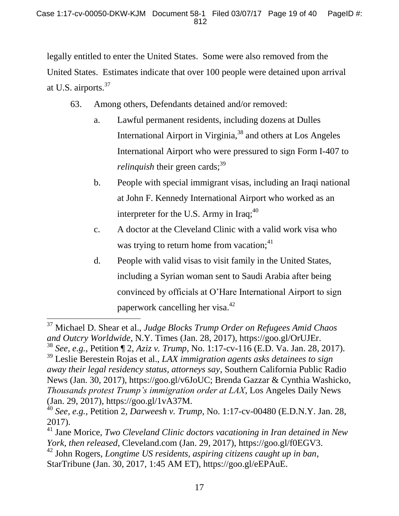legally entitled to enter the United States. Some were also removed from the United States. Estimates indicate that over 100 people were detained upon arrival at U.S. airports.<sup>37</sup>

- 63. Among others, Defendants detained and/or removed:
	- a. Lawful permanent residents, including dozens at Dulles International Airport in Virginia,<sup>38</sup> and others at Los Angeles International Airport who were pressured to sign Form I-407 to *relinquish* their green cards; $39$
	- b. People with special immigrant visas, including an Iraqi national at John F. Kennedy International Airport who worked as an interpreter for the U.S. Army in Iraq;<sup>40</sup>
	- c. A doctor at the Cleveland Clinic with a valid work visa who was trying to return home from vacation;<sup>41</sup>
	- d. People with valid visas to visit family in the United States, including a Syrian woman sent to Saudi Arabia after being convinced by officials at O'Hare International Airport to sign paperwork cancelling her visa.<sup>42</sup>

<sup>37</sup> Michael D. Shear et al., *Judge Blocks Trump Order on Refugees Amid Chaos and Outcry Worldwide*, N.Y. Times (Jan. 28, 2017), https://goo.gl/OrUJEr.

<sup>38</sup> *See, e.g.*, Petition ¶ 2, *Aziz v. Trump*, No. 1:17-cv-116 (E.D. Va. Jan. 28, 2017).

<sup>39</sup> Leslie Berestein Rojas et al., *LAX immigration agents asks detainees to sign away their legal residency status, attorneys say*, Southern California Public Radio News (Jan. 30, 2017), https://goo.gl/v6JoUC; Brenda Gazzar & Cynthia Washicko, *Thousands protest Trump's immigration order at LAX*, Los Angeles Daily News (Jan. 29, 2017), https://goo.gl/1vA37M.

<sup>40</sup> *See, e.g.*, Petition 2, *Darweesh v. Trump*, No. 1:17-cv-00480 (E.D.N.Y. Jan. 28, 2017).

<sup>41</sup> Jane Morice, *Two Cleveland Clinic doctors vacationing in Iran detained in New York, then released*, Cleveland.com (Jan. 29, 2017), https://goo.gl/f0EGV3.

<sup>42</sup> John Rogers, *Longtime US residents, aspiring citizens caught up in ban*, StarTribune (Jan. 30, 2017, 1:45 AM ET), https://goo.gl/eEPAuE.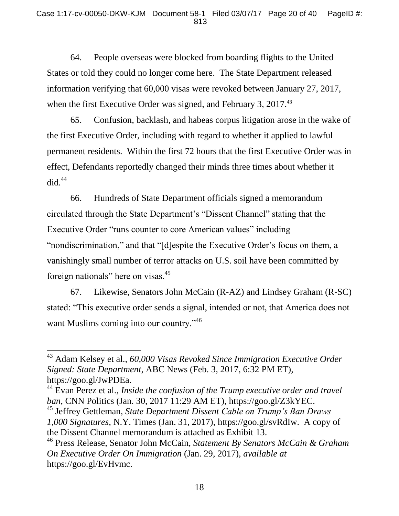64. People overseas were blocked from boarding flights to the United States or told they could no longer come here. The State Department released information verifying that 60,000 visas were revoked between January 27, 2017, when the first Executive Order was signed, and February 3, 2017.<sup>43</sup>

65. Confusion, backlash, and habeas corpus litigation arose in the wake of the first Executive Order, including with regard to whether it applied to lawful permanent residents. Within the first 72 hours that the first Executive Order was in effect, Defendants reportedly changed their minds three times about whether it  $did.<sup>44</sup>$ 

66. Hundreds of State Department officials signed a memorandum circulated through the State Department's "Dissent Channel" stating that the Executive Order "runs counter to core American values" including "nondiscrimination," and that "[d]espite the Executive Order's focus on them, a vanishingly small number of terror attacks on U.S. soil have been committed by foreign nationals" here on visas.<sup>45</sup>

67. Likewise, Senators John McCain (R-AZ) and Lindsey Graham (R-SC) stated: "This executive order sends a signal, intended or not, that America does not want Muslims coming into our country."<sup>46</sup>

 $\overline{a}$ 

<sup>43</sup> Adam Kelsey et al., *60,000 Visas Revoked Since Immigration Executive Order Signed: State Department*, ABC News (Feb. 3, 2017, 6:32 PM ET), https://goo.gl/JwPDEa.

<sup>44</sup> Evan Perez et al., *Inside the confusion of the Trump executive order and travel ban*, CNN Politics (Jan. 30, 2017 11:29 AM ET), https://goo.gl/Z3kYEC.

<sup>45</sup> Jeffrey Gettleman, *State Department Dissent Cable on Trump's Ban Draws 1,000 Signatures*, N.Y. Times (Jan. 31, 2017), https://goo.gl/svRdIw. A copy of the Dissent Channel memorandum is attached as Exhibit 13.

<sup>46</sup> Press Release, Senator John McCain, *Statement By Senators McCain & Graham On Executive Order On Immigration* (Jan. 29, 2017), *available at*  https://goo.gl/EvHvmc.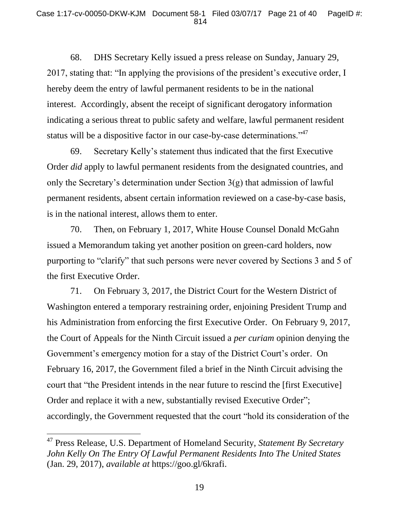68. DHS Secretary Kelly issued a press release on Sunday, January 29, 2017, stating that: "In applying the provisions of the president's executive order, I hereby deem the entry of lawful permanent residents to be in the national interest. Accordingly, absent the receipt of significant derogatory information indicating a serious threat to public safety and welfare, lawful permanent resident status will be a dispositive factor in our case-by-case determinations."<sup>47</sup>

69. Secretary Kelly's statement thus indicated that the first Executive Order *did* apply to lawful permanent residents from the designated countries, and only the Secretary's determination under Section 3(g) that admission of lawful permanent residents, absent certain information reviewed on a case-by-case basis, is in the national interest, allows them to enter.

70. Then, on February 1, 2017, White House Counsel Donald McGahn issued a Memorandum taking yet another position on green-card holders, now purporting to "clarify" that such persons were never covered by Sections 3 and 5 of the first Executive Order.

71. On February 3, 2017, the District Court for the Western District of Washington entered a temporary restraining order, enjoining President Trump and his Administration from enforcing the first Executive Order. On February 9, 2017, the Court of Appeals for the Ninth Circuit issued a *per curiam* opinion denying the Government's emergency motion for a stay of the District Court's order. On February 16, 2017, the Government filed a brief in the Ninth Circuit advising the court that "the President intends in the near future to rescind the [first Executive] Order and replace it with a new, substantially revised Executive Order"; accordingly, the Government requested that the court "hold its consideration of the

<sup>47</sup> Press Release, U.S. Department of Homeland Security, *Statement By Secretary John Kelly On The Entry Of Lawful Permanent Residents Into The United States*  (Jan. 29, 2017), *available at* https://goo.gl/6krafi.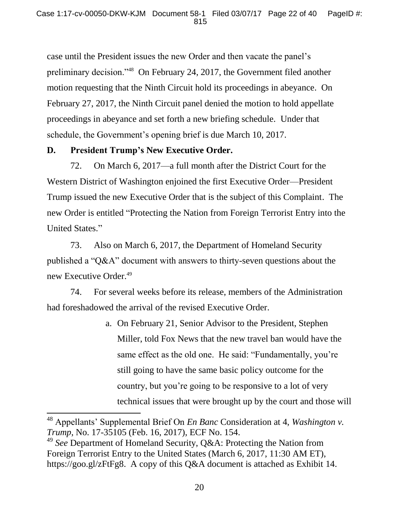case until the President issues the new Order and then vacate the panel's preliminary decision."<sup>48</sup> On February 24, 2017, the Government filed another motion requesting that the Ninth Circuit hold its proceedings in abeyance. On February 27, 2017, the Ninth Circuit panel denied the motion to hold appellate proceedings in abeyance and set forth a new briefing schedule. Under that schedule, the Government's opening brief is due March 10, 2017.

## **D. President Trump's New Executive Order.**

l

72. On March 6, 2017—a full month after the District Court for the Western District of Washington enjoined the first Executive Order—President Trump issued the new Executive Order that is the subject of this Complaint. The new Order is entitled "Protecting the Nation from Foreign Terrorist Entry into the United States."

73. Also on March 6, 2017, the Department of Homeland Security published a "Q&A" document with answers to thirty-seven questions about the new Executive Order.<sup>49</sup>

74. For several weeks before its release, members of the Administration had foreshadowed the arrival of the revised Executive Order.

> a. On February 21, Senior Advisor to the President, Stephen Miller, told Fox News that the new travel ban would have the same effect as the old one. He said: "Fundamentally, you're still going to have the same basic policy outcome for the country, but you're going to be responsive to a lot of very technical issues that were brought up by the court and those will

<sup>48</sup> Appellants' Supplemental Brief On *En Banc* Consideration at 4, *Washington v. Trump*, No. 17-35105 (Feb. 16, 2017), ECF No. 154.

<sup>49</sup> *See* Department of Homeland Security, Q&A: Protecting the Nation from Foreign Terrorist Entry to the United States (March 6, 2017, 11:30 AM ET), https://goo.gl/zFtFg8. A copy of this Q&A document is attached as Exhibit 14.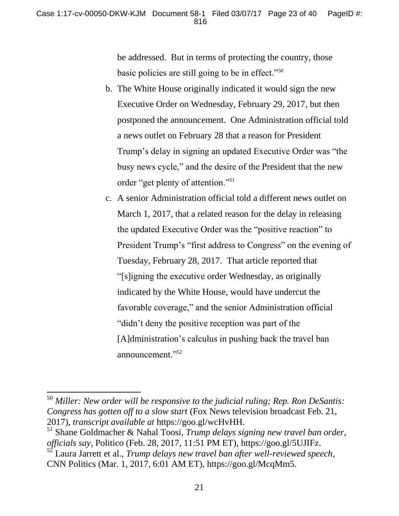be addressed. But in terms of protecting the country, those basic policies are still going to be in effect."<sup>50</sup>

- b. The White House originally indicated it would sign the new Executive Order on Wednesday, February 29, 2017, but then postponed the announcement. One Administration official told a news outlet on February 28 that a reason for President Trump's delay in signing an updated Executive Order was "the busy news cycle," and the desire of the President that the new order "get plenty of attention."<sup>51</sup>
- c. A senior Administration official told a different news outlet on March 1, 2017, that a related reason for the delay in releasing the updated Executive Order was the "positive reaction" to President Trump's "first address to Congress" on the evening of Tuesday, February 28, 2017. That article reported that "[s]igning the executive order Wednesday, as originally indicated by the White House, would have undercut the favorable coverage," and the senior Administration official "didn't deny the positive reception was part of the [A]dministration's calculus in pushing back the travel ban announcement."<sup>52</sup>

<sup>50</sup> *Miller: New order will be responsive to the judicial ruling; Rep. Ron DeSantis: Congress has gotten off to a slow start* (Fox News television broadcast Feb. 21, 2017), *transcript available at* https://goo.gl/wcHvHH.

<sup>51</sup> Shane Goldmacher & Nahal Toosi, *Trump delays signing new travel ban order, officials say*, Politico (Feb. 28, 2017, 11:51 PM ET), https://goo.gl/5UJIFz.

<sup>52</sup> Laura Jarrett et al., *Trump delays new travel ban after well-reviewed speech*, CNN Politics (Mar. 1, 2017, 6:01 AM ET), https://goo.gl/McqMm5.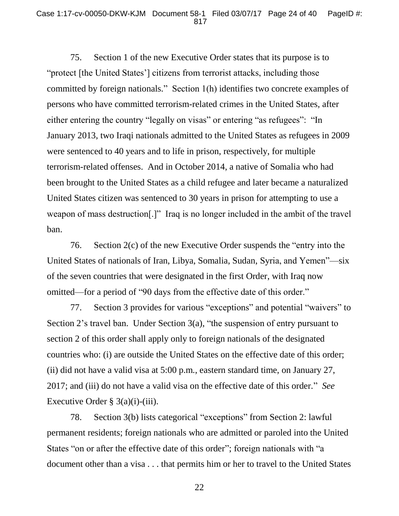75. Section 1 of the new Executive Order states that its purpose is to "protect [the United States'] citizens from terrorist attacks, including those committed by foreign nationals." Section 1(h) identifies two concrete examples of persons who have committed terrorism-related crimes in the United States, after either entering the country "legally on visas" or entering "as refugees": "In January 2013, two Iraqi nationals admitted to the United States as refugees in 2009 were sentenced to 40 years and to life in prison, respectively, for multiple terrorism-related offenses. And in October 2014, a native of Somalia who had been brought to the United States as a child refugee and later became a naturalized United States citizen was sentenced to 30 years in prison for attempting to use a weapon of mass destruction[.]" Iraq is no longer included in the ambit of the travel ban.

76. Section 2(c) of the new Executive Order suspends the "entry into the United States of nationals of Iran, Libya, Somalia, Sudan, Syria, and Yemen"—six of the seven countries that were designated in the first Order, with Iraq now omitted—for a period of "90 days from the effective date of this order."

77. Section 3 provides for various "exceptions" and potential "waivers" to Section 2's travel ban. Under Section 3(a), "the suspension of entry pursuant to section 2 of this order shall apply only to foreign nationals of the designated countries who: (i) are outside the United States on the effective date of this order; (ii) did not have a valid visa at 5:00 p.m., eastern standard time, on January 27, 2017; and (iii) do not have a valid visa on the effective date of this order." *See*  Executive Order  $\S$  3(a)(i)-(iii).

78. Section 3(b) lists categorical "exceptions" from Section 2: lawful permanent residents; foreign nationals who are admitted or paroled into the United States "on or after the effective date of this order"; foreign nationals with "a document other than a visa . . . that permits him or her to travel to the United States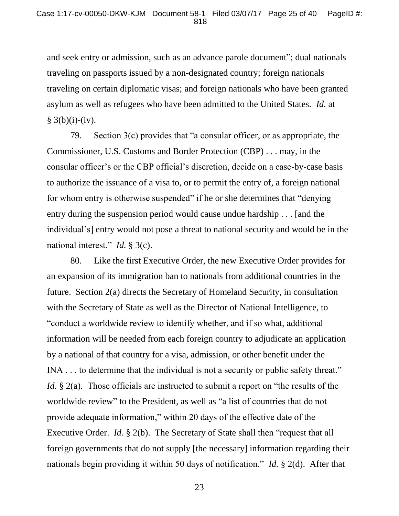and seek entry or admission, such as an advance parole document"; dual nationals traveling on passports issued by a non-designated country; foreign nationals traveling on certain diplomatic visas; and foreign nationals who have been granted asylum as well as refugees who have been admitted to the United States. *Id.* at  $§ 3(b)(i)-(iv).$ 

79. Section 3(c) provides that "a consular officer, or as appropriate, the Commissioner, U.S. Customs and Border Protection (CBP) . . . may, in the consular officer's or the CBP official's discretion, decide on a case-by-case basis to authorize the issuance of a visa to, or to permit the entry of, a foreign national for whom entry is otherwise suspended" if he or she determines that "denying entry during the suspension period would cause undue hardship . . . [and the individual's] entry would not pose a threat to national security and would be in the national interest." *Id.* § 3(c).

80. Like the first Executive Order, the new Executive Order provides for an expansion of its immigration ban to nationals from additional countries in the future. Section 2(a) directs the Secretary of Homeland Security, in consultation with the Secretary of State as well as the Director of National Intelligence, to "conduct a worldwide review to identify whether, and if so what, additional information will be needed from each foreign country to adjudicate an application by a national of that country for a visa, admission, or other benefit under the INA . . . to determine that the individual is not a security or public safety threat." *Id.* § 2(a). Those officials are instructed to submit a report on "the results of the worldwide review" to the President, as well as "a list of countries that do not provide adequate information," within 20 days of the effective date of the Executive Order. *Id.* § 2(b). The Secretary of State shall then "request that all foreign governments that do not supply [the necessary] information regarding their nationals begin providing it within 50 days of notification." *Id.* § 2(d). After that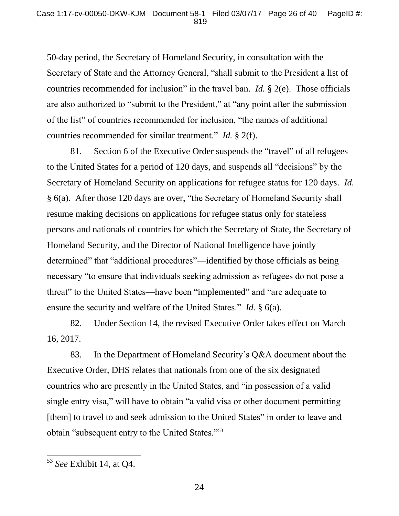50-day period, the Secretary of Homeland Security, in consultation with the Secretary of State and the Attorney General, "shall submit to the President a list of countries recommended for inclusion" in the travel ban. *Id.* § 2(e). Those officials are also authorized to "submit to the President," at "any point after the submission of the list" of countries recommended for inclusion, "the names of additional countries recommended for similar treatment." *Id.* § 2(f).

81. Section 6 of the Executive Order suspends the "travel" of all refugees to the United States for a period of 120 days, and suspends all "decisions" by the Secretary of Homeland Security on applications for refugee status for 120 days. *Id.*  § 6(a). After those 120 days are over, "the Secretary of Homeland Security shall resume making decisions on applications for refugee status only for stateless persons and nationals of countries for which the Secretary of State, the Secretary of Homeland Security, and the Director of National Intelligence have jointly determined" that "additional procedures"—identified by those officials as being necessary "to ensure that individuals seeking admission as refugees do not pose a threat" to the United States—have been "implemented" and "are adequate to ensure the security and welfare of the United States." *Id.* § 6(a).

82. Under Section 14, the revised Executive Order takes effect on March 16, 2017.

83. In the Department of Homeland Security's Q&A document about the Executive Order, DHS relates that nationals from one of the six designated countries who are presently in the United States, and "in possession of a valid single entry visa," will have to obtain "a valid visa or other document permitting [them] to travel to and seek admission to the United States" in order to leave and obtain "subsequent entry to the United States."<sup>53</sup>

<sup>53</sup> *See* Exhibit 14, at Q4.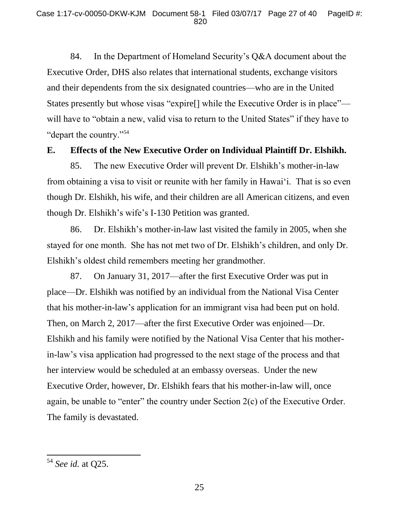84. In the Department of Homeland Security's Q&A document about the Executive Order, DHS also relates that international students, exchange visitors and their dependents from the six designated countries—who are in the United States presently but whose visas "expire[] while the Executive Order is in place" will have to "obtain a new, valid visa to return to the United States" if they have to "depart the country."<sup>54</sup>

### **E. Effects of the New Executive Order on Individual Plaintiff Dr. Elshikh.**

85. The new Executive Order will prevent Dr. Elshikh's mother-in-law from obtaining a visa to visit or reunite with her family in Hawai'i. That is so even though Dr. Elshikh, his wife, and their children are all American citizens, and even though Dr. Elshikh's wife's I-130 Petition was granted.

86. Dr. Elshikh's mother-in-law last visited the family in 2005, when she stayed for one month. She has not met two of Dr. Elshikh's children, and only Dr. Elshikh's oldest child remembers meeting her grandmother.

87. On January 31, 2017—after the first Executive Order was put in place—Dr. Elshikh was notified by an individual from the National Visa Center that his mother-in-law's application for an immigrant visa had been put on hold. Then, on March 2, 2017—after the first Executive Order was enjoined—Dr. Elshikh and his family were notified by the National Visa Center that his motherin-law's visa application had progressed to the next stage of the process and that her interview would be scheduled at an embassy overseas. Under the new Executive Order, however, Dr. Elshikh fears that his mother-in-law will, once again, be unable to "enter" the country under Section 2(c) of the Executive Order. The family is devastated.

<sup>54</sup> *See id.* at Q25.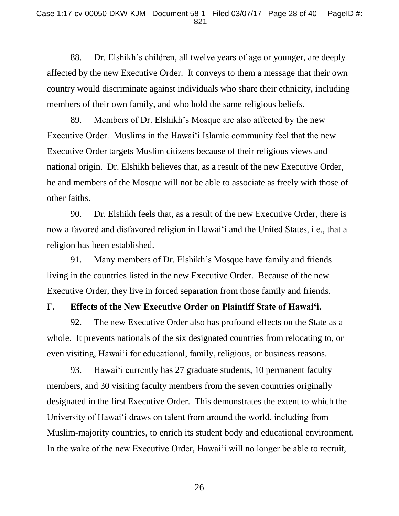88. Dr. Elshikh's children, all twelve years of age or younger, are deeply affected by the new Executive Order. It conveys to them a message that their own country would discriminate against individuals who share their ethnicity, including members of their own family, and who hold the same religious beliefs.

89. Members of Dr. Elshikh's Mosque are also affected by the new Executive Order. Muslims in the Hawai'i Islamic community feel that the new Executive Order targets Muslim citizens because of their religious views and national origin. Dr. Elshikh believes that, as a result of the new Executive Order, he and members of the Mosque will not be able to associate as freely with those of other faiths.

90. Dr. Elshikh feels that, as a result of the new Executive Order, there is now a favored and disfavored religion in Hawai'i and the United States, i.e., that a religion has been established.

91. Many members of Dr. Elshikh's Mosque have family and friends living in the countries listed in the new Executive Order. Because of the new Executive Order, they live in forced separation from those family and friends.

### **F. Effects of the New Executive Order on Plaintiff State of Hawai'i.**

92. The new Executive Order also has profound effects on the State as a whole. It prevents nationals of the six designated countries from relocating to, or even visiting, Hawai'i for educational, family, religious, or business reasons.

93. Hawai'i currently has 27 graduate students, 10 permanent faculty members, and 30 visiting faculty members from the seven countries originally designated in the first Executive Order. This demonstrates the extent to which the University of Hawai'i draws on talent from around the world, including from Muslim-majority countries, to enrich its student body and educational environment. In the wake of the new Executive Order, Hawai'i will no longer be able to recruit,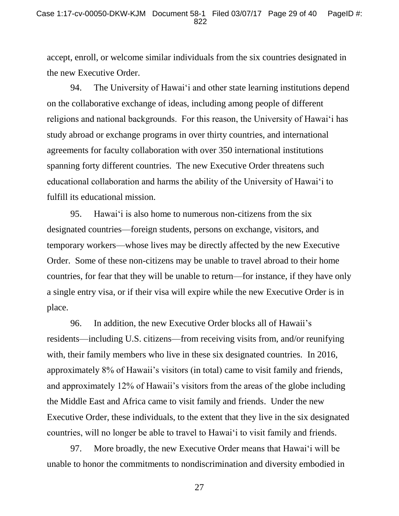accept, enroll, or welcome similar individuals from the six countries designated in the new Executive Order.

94. The University of Hawai'i and other state learning institutions depend on the collaborative exchange of ideas, including among people of different religions and national backgrounds. For this reason, the University of Hawai'i has study abroad or exchange programs in over thirty countries, and international agreements for faculty collaboration with over 350 international institutions spanning forty different countries. The new Executive Order threatens such educational collaboration and harms the ability of the University of Hawai'i to fulfill its educational mission.

95. Hawai'i is also home to numerous non-citizens from the six designated countries—foreign students, persons on exchange, visitors, and temporary workers—whose lives may be directly affected by the new Executive Order. Some of these non-citizens may be unable to travel abroad to their home countries, for fear that they will be unable to return—for instance, if they have only a single entry visa, or if their visa will expire while the new Executive Order is in place.

96. In addition, the new Executive Order blocks all of Hawaii's residents—including U.S. citizens—from receiving visits from, and/or reunifying with, their family members who live in these six designated countries. In 2016, approximately 8% of Hawaii's visitors (in total) came to visit family and friends, and approximately 12% of Hawaii's visitors from the areas of the globe including the Middle East and Africa came to visit family and friends. Under the new Executive Order, these individuals, to the extent that they live in the six designated countries, will no longer be able to travel to Hawai'i to visit family and friends.

97. More broadly, the new Executive Order means that Hawai'i will be unable to honor the commitments to nondiscrimination and diversity embodied in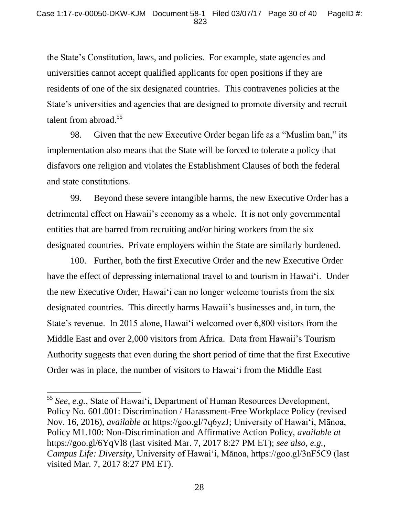the State's Constitution, laws, and policies. For example, state agencies and universities cannot accept qualified applicants for open positions if they are residents of one of the six designated countries. This contravenes policies at the State's universities and agencies that are designed to promote diversity and recruit talent from abroad.<sup>55</sup>

98. Given that the new Executive Order began life as a "Muslim ban," its implementation also means that the State will be forced to tolerate a policy that disfavors one religion and violates the Establishment Clauses of both the federal and state constitutions.

99. Beyond these severe intangible harms, the new Executive Order has a detrimental effect on Hawaii's economy as a whole. It is not only governmental entities that are barred from recruiting and/or hiring workers from the six designated countries. Private employers within the State are similarly burdened.

100. Further, both the first Executive Order and the new Executive Order have the effect of depressing international travel to and tourism in Hawai'i. Under the new Executive Order, Hawai'i can no longer welcome tourists from the six designated countries. This directly harms Hawaii's businesses and, in turn, the State's revenue. In 2015 alone, Hawai'i welcomed over 6,800 visitors from the Middle East and over 2,000 visitors from Africa. Data from Hawaii's Tourism Authority suggests that even during the short period of time that the first Executive Order was in place, the number of visitors to Hawai'i from the Middle East

<sup>55</sup> *See, e.g.*, State of Hawai'i, Department of Human Resources Development, Policy No. 601.001: Discrimination / Harassment-Free Workplace Policy (revised Nov. 16, 2016), *available at* https://goo.gl/7q6yzJ; University of Hawai'i, Mānoa, Policy M1.100: Non-Discrimination and Affirmative Action Policy, *available at*  https://goo.gl/6YqVl8 (last visited Mar. 7, 2017 8:27 PM ET); *see also, e.g.*, *Campus Life: Diversity*, University of Hawai'i, Mānoa, https://goo.gl/3nF5C9 (last visited Mar. 7, 2017 8:27 PM ET).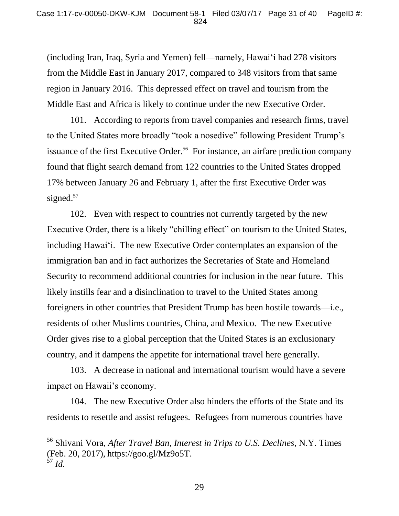(including Iran, Iraq, Syria and Yemen) fell—namely, Hawai'i had 278 visitors from the Middle East in January 2017, compared to 348 visitors from that same region in January 2016. This depressed effect on travel and tourism from the Middle East and Africa is likely to continue under the new Executive Order.

101. According to reports from travel companies and research firms, travel to the United States more broadly "took a nosedive" following President Trump's issuance of the first Executive Order.<sup>56</sup> For instance, an airfare prediction company found that flight search demand from 122 countries to the United States dropped 17% between January 26 and February 1, after the first Executive Order was signed.<sup>57</sup>

102. Even with respect to countries not currently targeted by the new Executive Order, there is a likely "chilling effect" on tourism to the United States, including Hawai'i. The new Executive Order contemplates an expansion of the immigration ban and in fact authorizes the Secretaries of State and Homeland Security to recommend additional countries for inclusion in the near future. This likely instills fear and a disinclination to travel to the United States among foreigners in other countries that President Trump has been hostile towards—i.e., residents of other Muslims countries, China, and Mexico. The new Executive Order gives rise to a global perception that the United States is an exclusionary country, and it dampens the appetite for international travel here generally.

103. A decrease in national and international tourism would have a severe impact on Hawaii's economy.

104. The new Executive Order also hinders the efforts of the State and its residents to resettle and assist refugees. Refugees from numerous countries have

<sup>56</sup> Shivani Vora, *After Travel Ban, Interest in Trips to U.S. Declines*, N.Y. Times (Feb. 20, 2017), https://goo.gl/Mz9o5T.  $\frac{2}{57}$  *Id.*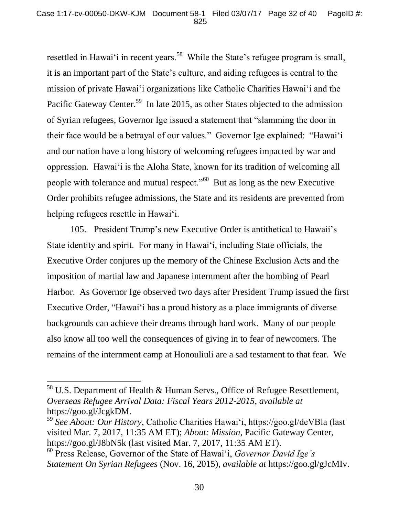resettled in Hawai'i in recent years.<sup>58</sup> While the State's refugee program is small, it is an important part of the State's culture, and aiding refugees is central to the mission of private Hawai'i organizations like Catholic Charities Hawai'i and the Pacific Gateway Center.<sup>59</sup> In late 2015, as other States objected to the admission of Syrian refugees, Governor Ige issued a statement that "slamming the door in their face would be a betrayal of our values." Governor Ige explained: "Hawai'i and our nation have a long history of welcoming refugees impacted by war and oppression. Hawai'i is the Aloha State, known for its tradition of welcoming all people with tolerance and mutual respect."<sup>60</sup> But as long as the new Executive Order prohibits refugee admissions, the State and its residents are prevented from helping refugees resettle in Hawai'i.

105. President Trump's new Executive Order is antithetical to Hawaii's State identity and spirit. For many in Hawai'i, including State officials, the Executive Order conjures up the memory of the Chinese Exclusion Acts and the imposition of martial law and Japanese internment after the bombing of Pearl Harbor. As Governor Ige observed two days after President Trump issued the first Executive Order, "Hawai'i has a proud history as a place immigrants of diverse backgrounds can achieve their dreams through hard work. Many of our people also know all too well the consequences of giving in to fear of newcomers. The remains of the internment camp at Honouliuli are a sad testament to that fear. We

 $\overline{a}$ 

 $58$  U.S. Department of Health & Human Servs., Office of Refugee Resettlement, *Overseas Refugee Arrival Data: Fiscal Years 2012-2015*, *available at*  https://goo.gl/JcgkDM.

<sup>59</sup> *See About: Our History*, Catholic Charities Hawai'i, https://goo.gl/deVBla (last visited Mar. 7, 2017, 11:35 AM ET); *About: Mission*, Pacific Gateway Center, https://goo.gl/J8bN5k (last visited Mar. 7, 2017, 11:35 AM ET).

<sup>60</sup> Press Release, Governor of the State of Hawai'i, *Governor David Ige's Statement On Syrian Refugees* (Nov. 16, 2015), *available at* https://goo.gl/gJcMIv.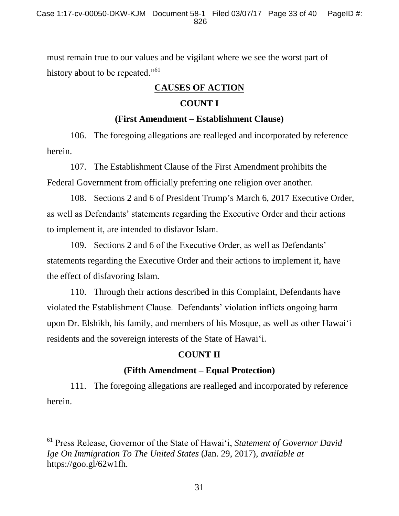must remain true to our values and be vigilant where we see the worst part of history about to be repeated."<sup>61</sup>

## **CAUSES OF ACTION**

## **COUNT I**

## **(First Amendment – Establishment Clause)**

106. The foregoing allegations are realleged and incorporated by reference herein.

107. The Establishment Clause of the First Amendment prohibits the Federal Government from officially preferring one religion over another.

108. Sections 2 and 6 of President Trump's March 6, 2017 Executive Order, as well as Defendants' statements regarding the Executive Order and their actions to implement it, are intended to disfavor Islam.

109. Sections 2 and 6 of the Executive Order, as well as Defendants' statements regarding the Executive Order and their actions to implement it, have the effect of disfavoring Islam.

110. Through their actions described in this Complaint, Defendants have violated the Establishment Clause. Defendants' violation inflicts ongoing harm upon Dr. Elshikh, his family, and members of his Mosque, as well as other Hawai'i residents and the sovereign interests of the State of Hawai'i.

# **COUNT II**

# **(Fifth Amendment – Equal Protection)**

111. The foregoing allegations are realleged and incorporated by reference herein.

<sup>61</sup> Press Release, Governor of the State of Hawai'i, *Statement of Governor David Ige On Immigration To The United States* (Jan. 29, 2017), *available at*  https://goo.gl/62w1fh.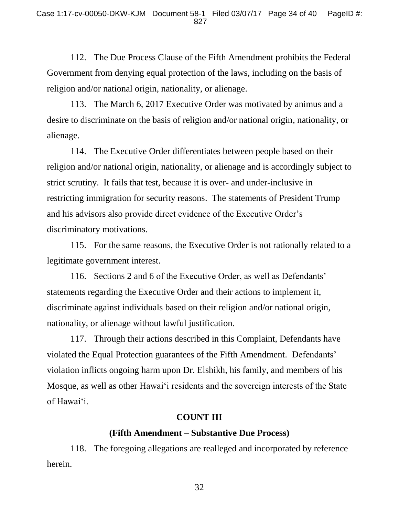112. The Due Process Clause of the Fifth Amendment prohibits the Federal Government from denying equal protection of the laws, including on the basis of religion and/or national origin, nationality, or alienage.

113. The March 6, 2017 Executive Order was motivated by animus and a desire to discriminate on the basis of religion and/or national origin, nationality, or alienage.

114. The Executive Order differentiates between people based on their religion and/or national origin, nationality, or alienage and is accordingly subject to strict scrutiny. It fails that test, because it is over- and under-inclusive in restricting immigration for security reasons. The statements of President Trump and his advisors also provide direct evidence of the Executive Order's discriminatory motivations.

115. For the same reasons, the Executive Order is not rationally related to a legitimate government interest.

116. Sections 2 and 6 of the Executive Order, as well as Defendants' statements regarding the Executive Order and their actions to implement it, discriminate against individuals based on their religion and/or national origin, nationality, or alienage without lawful justification.

117. Through their actions described in this Complaint, Defendants have violated the Equal Protection guarantees of the Fifth Amendment. Defendants' violation inflicts ongoing harm upon Dr. Elshikh, his family, and members of his Mosque, as well as other Hawai'i residents and the sovereign interests of the State of Hawai'i.

## **COUNT III**

### **(Fifth Amendment – Substantive Due Process)**

118. The foregoing allegations are realleged and incorporated by reference herein.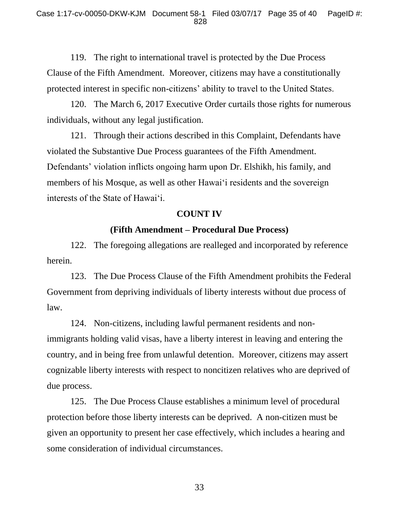119. The right to international travel is protected by the Due Process Clause of the Fifth Amendment. Moreover, citizens may have a constitutionally protected interest in specific non-citizens' ability to travel to the United States.

120. The March 6, 2017 Executive Order curtails those rights for numerous individuals, without any legal justification.

121. Through their actions described in this Complaint, Defendants have violated the Substantive Due Process guarantees of the Fifth Amendment. Defendants' violation inflicts ongoing harm upon Dr. Elshikh, his family, and members of his Mosque, as well as other Hawai'i residents and the sovereign interests of the State of Hawai'i.

#### **COUNT IV**

### **(Fifth Amendment – Procedural Due Process)**

122. The foregoing allegations are realleged and incorporated by reference herein.

123. The Due Process Clause of the Fifth Amendment prohibits the Federal Government from depriving individuals of liberty interests without due process of law.

124. Non-citizens, including lawful permanent residents and nonimmigrants holding valid visas, have a liberty interest in leaving and entering the country, and in being free from unlawful detention. Moreover, citizens may assert cognizable liberty interests with respect to noncitizen relatives who are deprived of due process.

125. The Due Process Clause establishes a minimum level of procedural protection before those liberty interests can be deprived. A non-citizen must be given an opportunity to present her case effectively, which includes a hearing and some consideration of individual circumstances.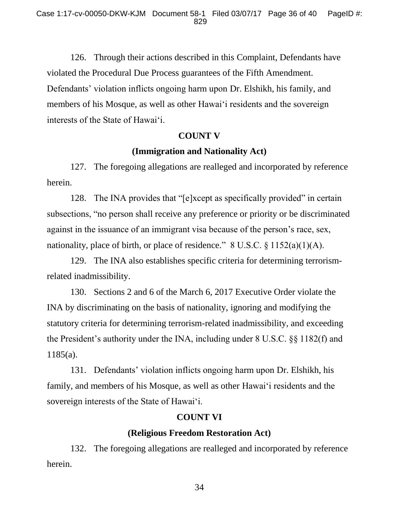126. Through their actions described in this Complaint, Defendants have violated the Procedural Due Process guarantees of the Fifth Amendment. Defendants' violation inflicts ongoing harm upon Dr. Elshikh, his family, and members of his Mosque, as well as other Hawai'i residents and the sovereign interests of the State of Hawai'i.

#### **COUNT V**

## **(Immigration and Nationality Act)**

127. The foregoing allegations are realleged and incorporated by reference herein.

128. The INA provides that "[e]xcept as specifically provided" in certain subsections, "no person shall receive any preference or priority or be discriminated against in the issuance of an immigrant visa because of the person's race, sex, nationality, place of birth, or place of residence." 8 U.S.C. § 1152(a)(1)(A).

129. The INA also establishes specific criteria for determining terrorismrelated inadmissibility.

130. Sections 2 and 6 of the March 6, 2017 Executive Order violate the INA by discriminating on the basis of nationality, ignoring and modifying the statutory criteria for determining terrorism-related inadmissibility, and exceeding the President's authority under the INA, including under 8 U.S.C. §§ 1182(f) and 1185(a).

131. Defendants' violation inflicts ongoing harm upon Dr. Elshikh, his family, and members of his Mosque, as well as other Hawai'i residents and the sovereign interests of the State of Hawai'i.

## **COUNT VI**

## **(Religious Freedom Restoration Act)**

132. The foregoing allegations are realleged and incorporated by reference herein.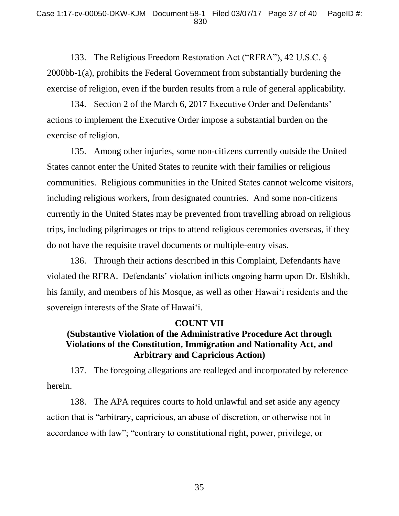133. The Religious Freedom Restoration Act ("RFRA"), 42 U.S.C. § 2000bb-1(a), prohibits the Federal Government from substantially burdening the exercise of religion, even if the burden results from a rule of general applicability.

134. Section 2 of the March 6, 2017 Executive Order and Defendants' actions to implement the Executive Order impose a substantial burden on the exercise of religion.

135. Among other injuries, some non-citizens currently outside the United States cannot enter the United States to reunite with their families or religious communities. Religious communities in the United States cannot welcome visitors, including religious workers, from designated countries. And some non-citizens currently in the United States may be prevented from travelling abroad on religious trips, including pilgrimages or trips to attend religious ceremonies overseas, if they do not have the requisite travel documents or multiple-entry visas.

136. Through their actions described in this Complaint, Defendants have violated the RFRA. Defendants' violation inflicts ongoing harm upon Dr. Elshikh, his family, and members of his Mosque, as well as other Hawai'i residents and the sovereign interests of the State of Hawai'i.

## **COUNT VII**

# **(Substantive Violation of the Administrative Procedure Act through Violations of the Constitution, Immigration and Nationality Act, and Arbitrary and Capricious Action)**

137. The foregoing allegations are realleged and incorporated by reference herein.

138. The APA requires courts to hold unlawful and set aside any agency action that is "arbitrary, capricious, an abuse of discretion, or otherwise not in accordance with law"; "contrary to constitutional right, power, privilege, or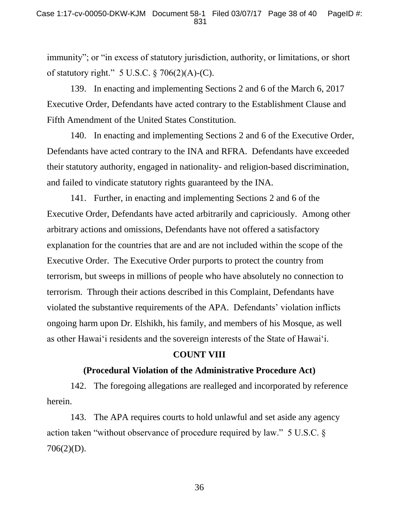immunity"; or "in excess of statutory jurisdiction, authority, or limitations, or short of statutory right."  $5 \text{ U.S.C.} \$   $706(2)(\text{A})$ -(C).

139. In enacting and implementing Sections 2 and 6 of the March 6, 2017 Executive Order, Defendants have acted contrary to the Establishment Clause and Fifth Amendment of the United States Constitution.

140. In enacting and implementing Sections 2 and 6 of the Executive Order, Defendants have acted contrary to the INA and RFRA. Defendants have exceeded their statutory authority, engaged in nationality- and religion-based discrimination, and failed to vindicate statutory rights guaranteed by the INA.

141. Further, in enacting and implementing Sections 2 and 6 of the Executive Order, Defendants have acted arbitrarily and capriciously. Among other arbitrary actions and omissions, Defendants have not offered a satisfactory explanation for the countries that are and are not included within the scope of the Executive Order. The Executive Order purports to protect the country from terrorism, but sweeps in millions of people who have absolutely no connection to terrorism. Through their actions described in this Complaint, Defendants have violated the substantive requirements of the APA. Defendants' violation inflicts ongoing harm upon Dr. Elshikh, his family, and members of his Mosque, as well as other Hawai'i residents and the sovereign interests of the State of Hawai'i.

#### **COUNT VIII**

## **(Procedural Violation of the Administrative Procedure Act)**

142. The foregoing allegations are realleged and incorporated by reference herein.

143. The APA requires courts to hold unlawful and set aside any agency action taken "without observance of procedure required by law." 5 U.S.C. § 706(2)(D).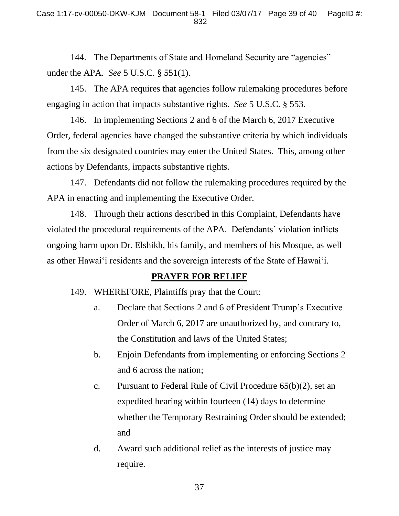144. The Departments of State and Homeland Security are "agencies" under the APA. *See* 5 U.S.C. § 551(1).

145. The APA requires that agencies follow rulemaking procedures before engaging in action that impacts substantive rights. *See* 5 U.S.C. § 553.

146. In implementing Sections 2 and 6 of the March 6, 2017 Executive Order, federal agencies have changed the substantive criteria by which individuals from the six designated countries may enter the United States. This, among other actions by Defendants, impacts substantive rights.

147. Defendants did not follow the rulemaking procedures required by the APA in enacting and implementing the Executive Order.

148. Through their actions described in this Complaint, Defendants have violated the procedural requirements of the APA. Defendants' violation inflicts ongoing harm upon Dr. Elshikh, his family, and members of his Mosque, as well as other Hawai'i residents and the sovereign interests of the State of Hawai'i.

## **PRAYER FOR RELIEF**

149. WHEREFORE, Plaintiffs pray that the Court:

- a. Declare that Sections 2 and 6 of President Trump's Executive Order of March 6, 2017 are unauthorized by, and contrary to, the Constitution and laws of the United States;
- b. Enjoin Defendants from implementing or enforcing Sections 2 and 6 across the nation;
- c. Pursuant to Federal Rule of Civil Procedure 65(b)(2), set an expedited hearing within fourteen (14) days to determine whether the Temporary Restraining Order should be extended; and
- d. Award such additional relief as the interests of justice may require.